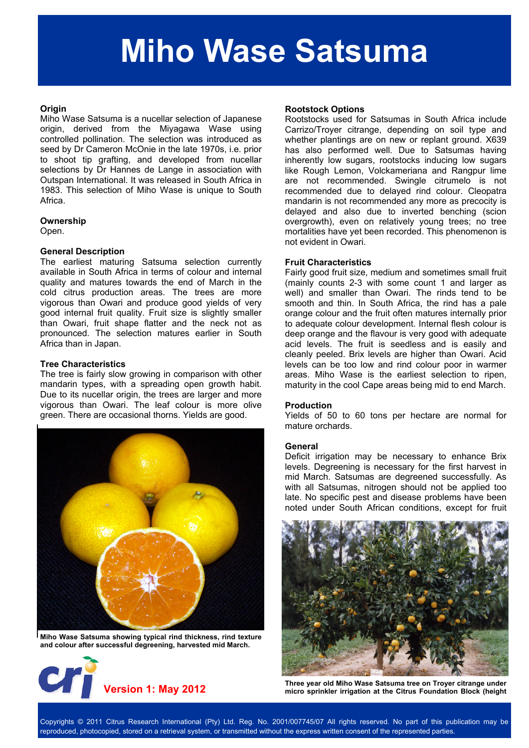# **Miho Wase Satsuma**

## **Origin**

Miho Wase Satsuma is a nucellar selection of Japanese origin, derived from the Miyagawa Wase using controlled pollination. The selection was introduced as seed by Dr Cameron McOnie in the late 1970s, i.e. prior to shoot tip grafting, and developed from nucellar selections by Dr Hannes de Lange in association with Outspan International. It was released in South Africa in 1983. This selection of Miho Wase is unique to South Africa.

# **Ownership**

Open.

# **General Description**

The earliest maturing Satsuma selection currently available in South Africa in terms of colour and internal quality and matures towards the end of March in the cold citrus production areas. The trees are more vigorous than Owari and produce good yields of very good internal fruit quality. Fruit size is slightly smaller than Owari, fruit shape flatter and the neck not as pronounced. The selection matures earlier in South Africa than in Japan.

# **Tree Characteristics**

The tree is fairly slow growing in comparison with other mandarin types, with a spreading open growth habit. Due to its nucellar origin, the trees are larger and more vigorous than Owari. The leaf colour is more olive green. There are occasional thorns. Yields are good.



**Miho Wase Satsuma showing typical rind thickness, rind texture and colour after successful degreening, harvested mid March.** 



#### **Rootstock Options**

Rootstocks used for Satsumas in South Africa include Carrizo/Troyer citrange, depending on soil type and whether plantings are on new or replant ground. X639 has also performed well. Due to Satsumas having inherently low sugars, rootstocks inducing low sugars like Rough Lemon, Volckameriana and Rangpur lime are not recommended. Swingle citrumelo is not recommended due to delayed rind colour. Cleopatra mandarin is not recommended any more as precocity is delayed and also due to inverted benching (scion overgrowth), even on relatively young trees; no tree mortalities have yet been recorded. This phenomenon is not evident in Owari.

# **Fruit Characteristics**

Fairly good fruit size, medium and sometimes small fruit (mainly counts 2-3 with some count 1 and larger as well) and smaller than Owari. The rinds tend to be smooth and thin. In South Africa, the rind has a pale orange colour and the fruit often matures internally prior to adequate colour development. Internal flesh colour is deep orange and the flavour is very good with adequate acid levels. The fruit is seedless and is easily and cleanly peeled. Brix levels are higher than Owari. Acid levels can be too low and rind colour poor in warmer areas. Miho Wase is the earliest selection to ripen, maturity in the cool Cape areas being mid to end March.

#### **Production**

Yields of 50 to 60 tons per hectare are normal for mature orchards.

#### **General**

Deficit irrigation may be necessary to enhance Brix levels. Degreening is necessary for the first harvest in mid March. Satsumas are degreened successfully. As with all Satsumas, nitrogen should not be applied too late. No specific pest and disease problems have been noted under South African conditions, except for fruit



Three year old Miho Wase Satsuma tree on Troyer citrange under<br>**Version 1: May 2012** micro sprinkler irrigation at the Citrus Foundation Block (height

Copyrights © 2011 Citrus Research International (Pty) Ltd. Reg. No. 2001/007745/07 All rights reserved. No part of this publication may be reproduced, photocopied, stored on a retrieval system, or transmitted without the express written consent of the represented parties.